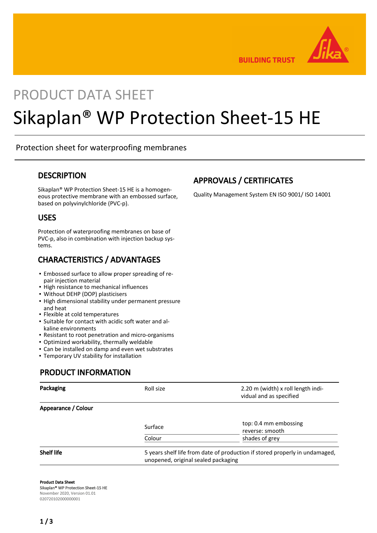

**BUILDING TRUST** 

## PRODUCT DATA SHEET

# Sikaplan® WP Protection Sheet-15 HE

#### Protection sheet for waterproofing membranes

#### **DESCRIPTION**

Sikaplan® WP Protection Sheet-15 HE is a homogeneous protective membrane with an embossed surface, based on polyvinylchloride (PVC-p).

#### USES

Protection of waterproofing membranes on base of PVC-p, also in combination with injection backup systems.

#### CHARACTERISTICS / ADVANTAGES

- **Embossed surface to allow proper spreading of re**pair injection material
- **.** High resistance to mechanical influences
- Without DEHP (DOP) plasticisers
- **.** High dimensional stability under permanent pressure and heat
- Flexible at cold temperatures
- **E** Suitable for contact with acidic soft water and alkaline environments
- Resistant to root penetration and micro-organisms
- Optimized workability, thermally weldable
- **EX Can be installed on damp and even wet substrates**
- **Temporary UV stability for installation**

#### PRODUCT INFORMATION

| Packaging           | Roll size                                                                                                          | 2.20 m (width) x roll length indi-<br>vidual and as specified |
|---------------------|--------------------------------------------------------------------------------------------------------------------|---------------------------------------------------------------|
| Appearance / Colour |                                                                                                                    |                                                               |
|                     | Surface                                                                                                            | top: 0.4 mm embossing<br>reverse: smooth                      |
|                     | Colour                                                                                                             | shades of grey                                                |
| <b>Shelf life</b>   | 5 years shelf life from date of production if stored properly in undamaged,<br>unopened, original sealed packaging |                                                               |

Product Data Sheet Sikaplan® WP Protection Sheet-15 HE November 2020, Version 01.01 020720102000000001

#### APPROVALS / CERTIFICATES

Quality Management System EN ISO 9001/ ISO 14001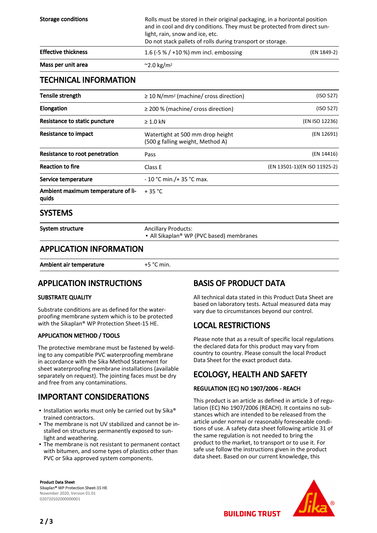| Storage conditions         | Rolls must be stored in their original packaging, in a horizontal position<br>and in cool and dry conditions. They must be protected from direct sun-<br>light, rain, snow and ice, etc.<br>Do not stack pallets of rolls during transport or storage. |             |  |
|----------------------------|--------------------------------------------------------------------------------------------------------------------------------------------------------------------------------------------------------------------------------------------------------|-------------|--|
| <b>Effective thickness</b> | 1.6 (-5 % / +10 %) mm incl. embossing                                                                                                                                                                                                                  | (EN 1849-2) |  |
| Mass per unit area         | $\sim$ 2.0 kg/m <sup>2</sup>                                                                                                                                                                                                                           |             |  |

#### TECHNICAL INFORMATION

| Tensile strength                            | $\geq$ 10 N/mm <sup>2</sup> (machine/ cross direction)               | (ISO 527)                    |
|---------------------------------------------|----------------------------------------------------------------------|------------------------------|
| Elongation                                  | $\geq$ 200 % (machine/ cross direction)                              | (ISO 527)                    |
| Resistance to static puncture               | $\geq 1.0$ kN                                                        | (EN ISO 12236)               |
| Resistance to impact                        | Watertight at 500 mm drop height<br>(500 g falling weight, Method A) | (EN 12691)                   |
| Resistance to root penetration              | Pass                                                                 | (EN 14416)                   |
| <b>Reaction to fire</b>                     | Class E                                                              | (EN 13501-1)(EN ISO 11925-2) |
| Service temperature                         | $-10$ °C min./+ 35 °C max.                                           |                              |
| Ambient maximum temperature of li-<br>quids | $+35 °C$                                                             |                              |
| <b>SYSTEMS</b>                              |                                                                      |                              |
| System structure                            | <b>Ancillary Products:</b>                                           |                              |

■ All Sikaplan® WP (PVC based) membranes

#### APPLICATION INFORMATION

Ambient air temperature  $+5$  °C min.

#### APPLICATION INSTRUCTIONS

#### SUBSTRATE QUALITY

Substrate conditions are as defined for the waterproofing membrane system which is to be protected with the Sikaplan® WP Protection Sheet-15 HE.

#### APPLICATION METHOD / TOOLS

The protective membrane must be fastened by welding to any compatible PVC waterproofing membrane in accordance with the Sika Method Statement for sheet waterproofing membrane installations (available separately on request). The jointing faces must be dry and free from any contaminations.

#### IMPORTANT CONSIDERATIONS

- **.** Installation works must only be carried out by Sika® trained contractors.
- The membrane is not UV stabilized and cannot be in-▪ stalled on structures permanently exposed to sunlight and weathering.
- **The membrane is not resistant to permanent contact** with bitumen, and some types of plastics other than PVC or Sika approved system components.

#### Product Data Sheet Sikaplan® WP Protection Sheet-15 HE November 2020, Version 01.01 020720102000000001

#### BASIS OF PRODUCT DATA

All technical data stated in this Product Data Sheet are based on laboratory tests. Actual measured data may vary due to circumstances beyond our control.

#### LOCAL RESTRICTIONS

Please note that as a result of specific local regulations the declared data for this product may vary from country to country. Please consult the local Product Data Sheet for the exact product data.

### ECOLOGY, HEALTH AND SAFETY

#### REGULATION (EC) NO 1907/2006 - REACH

This product is an article as defined in article 3 of regulation (EC) No 1907/2006 (REACH). It contains no substances which are intended to be released from the article under normal or reasonably foreseeable conditions of use. A safety data sheet following article 31 of the same regulation is not needed to bring the product to the market, to transport or to use it. For safe use follow the instructions given in the product data sheet. Based on our current knowledge, this



**BUILDING TRUST**